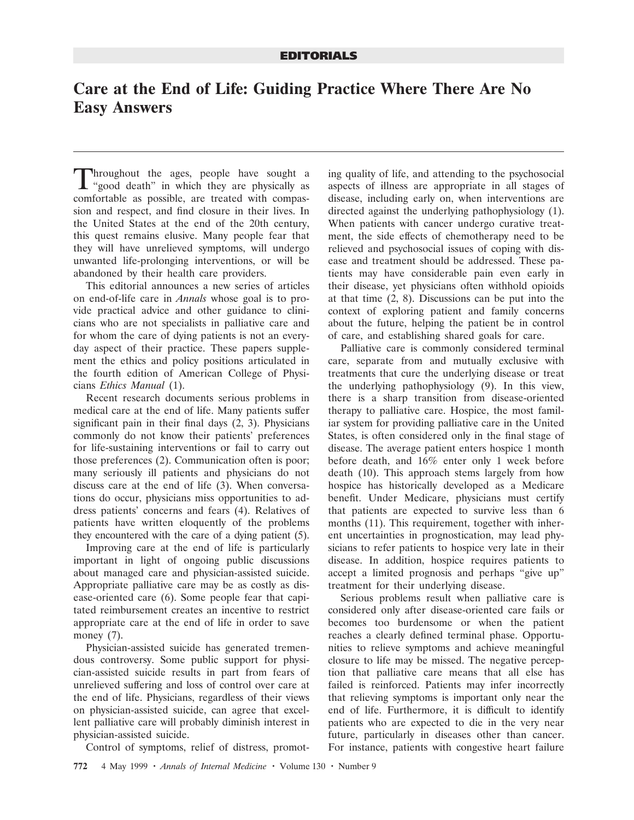# **Care at the End of Life: Guiding Practice Where There Are No Easy Answers**

Throughout the ages, people have sought a "good death" in which they are physically as comfortable as possible, are treated with compassion and respect, and find closure in their lives. In the United States at the end of the 20th century, this quest remains elusive. Many people fear that they will have unrelieved symptoms, will undergo unwanted life-prolonging interventions, or will be abandoned by their health care providers.

This editorial announces a new series of articles on end-of-life care in *Annals* whose goal is to provide practical advice and other guidance to clinicians who are not specialists in palliative care and for whom the care of dying patients is not an everyday aspect of their practice. These papers supplement the ethics and policy positions articulated in the fourth edition of American College of Physicians *Ethics Manual* (1).

Recent research documents serious problems in medical care at the end of life. Many patients suffer significant pain in their final days  $(2, 3)$ . Physicians commonly do not know their patients' preferences for life-sustaining interventions or fail to carry out those preferences (2). Communication often is poor; many seriously ill patients and physicians do not discuss care at the end of life (3). When conversations do occur, physicians miss opportunities to address patients' concerns and fears (4). Relatives of patients have written eloquently of the problems they encountered with the care of a dying patient (5).

Improving care at the end of life is particularly important in light of ongoing public discussions about managed care and physician-assisted suicide. Appropriate palliative care may be as costly as disease-oriented care (6). Some people fear that capitated reimbursement creates an incentive to restrict appropriate care at the end of life in order to save money  $(7)$ .

Physician-assisted suicide has generated tremendous controversy. Some public support for physician-assisted suicide results in part from fears of unrelieved suffering and loss of control over care at the end of life. Physicians, regardless of their views on physician-assisted suicide, can agree that excellent palliative care will probably diminish interest in physician-assisted suicide.

Control of symptoms, relief of distress, promot-

ing quality of life, and attending to the psychosocial aspects of illness are appropriate in all stages of disease, including early on, when interventions are directed against the underlying pathophysiology (1). When patients with cancer undergo curative treatment, the side effects of chemotherapy need to be relieved and psychosocial issues of coping with disease and treatment should be addressed. These patients may have considerable pain even early in their disease, yet physicians often withhold opioids at that time (2, 8). Discussions can be put into the context of exploring patient and family concerns about the future, helping the patient be in control of care, and establishing shared goals for care.

Palliative care is commonly considered terminal care, separate from and mutually exclusive with treatments that cure the underlying disease or treat the underlying pathophysiology (9). In this view, there is a sharp transition from disease-oriented therapy to palliative care. Hospice, the most familiar system for providing palliative care in the United States, is often considered only in the final stage of disease. The average patient enters hospice 1 month before death, and 16% enter only 1 week before death (10). This approach stems largely from how hospice has historically developed as a Medicare benefit. Under Medicare, physicians must certify that patients are expected to survive less than 6 months (11). This requirement, together with inherent uncertainties in prognostication, may lead physicians to refer patients to hospice very late in their disease. In addition, hospice requires patients to accept a limited prognosis and perhaps "give up" treatment for their underlying disease.

Serious problems result when palliative care is considered only after disease-oriented care fails or becomes too burdensome or when the patient reaches a clearly defined terminal phase. Opportunities to relieve symptoms and achieve meaningful closure to life may be missed. The negative perception that palliative care means that all else has failed is reinforced. Patients may infer incorrectly that relieving symptoms is important only near the end of life. Furthermore, it is difficult to identify patients who are expected to die in the very near future, particularly in diseases other than cancer. For instance, patients with congestive heart failure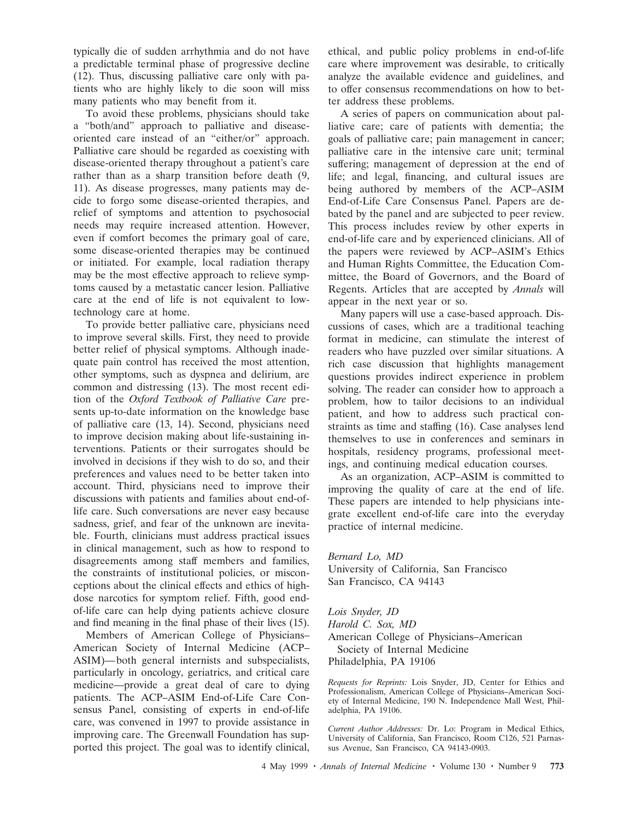typically die of sudden arrhythmia and do not have a predictable terminal phase of progressive decline (12). Thus, discussing palliative care only with patients who are highly likely to die soon will miss many patients who may benefit from it.

To avoid these problems, physicians should take a "both/and" approach to palliative and diseaseoriented care instead of an "either/or" approach. Palliative care should be regarded as coexisting with disease-oriented therapy throughout a patient's care rather than as a sharp transition before death (9, 11). As disease progresses, many patients may decide to forgo some disease-oriented therapies, and relief of symptoms and attention to psychosocial needs may require increased attention. However, even if comfort becomes the primary goal of care, some disease-oriented therapies may be continued or initiated. For example, local radiation therapy may be the most effective approach to relieve symptoms caused by a metastatic cancer lesion. Palliative care at the end of life is not equivalent to lowtechnology care at home.

To provide better palliative care, physicians need to improve several skills. First, they need to provide better relief of physical symptoms. Although inadequate pain control has received the most attention, other symptoms, such as dyspnea and delirium, are common and distressing (13). The most recent edition of the *Oxford Textbook of Palliative Care* presents up-to-date information on the knowledge base of palliative care (13, 14). Second, physicians need to improve decision making about life-sustaining interventions. Patients or their surrogates should be involved in decisions if they wish to do so, and their preferences and values need to be better taken into account. Third, physicians need to improve their discussions with patients and families about end-oflife care. Such conversations are never easy because sadness, grief, and fear of the unknown are inevitable. Fourth, clinicians must address practical issues in clinical management, such as how to respond to disagreements among staff members and families, the constraints of institutional policies, or misconceptions about the clinical effects and ethics of highdose narcotics for symptom relief. Fifth, good endof-life care can help dying patients achieve closure and find meaning in the final phase of their lives (15).

Members of American College of Physicians– American Society of Internal Medicine (ACP– ASIM)—both general internists and subspecialists, particularly in oncology, geriatrics, and critical care medicine—provide a great deal of care to dying patients. The ACP–ASIM End-of-Life Care Consensus Panel, consisting of experts in end-of-life care, was convened in 1997 to provide assistance in improving care. The Greenwall Foundation has supported this project. The goal was to identify clinical, ethical, and public policy problems in end-of-life care where improvement was desirable, to critically analyze the available evidence and guidelines, and to offer consensus recommendations on how to better address these problems.

A series of papers on communication about palliative care; care of patients with dementia; the goals of palliative care; pain management in cancer; palliative care in the intensive care unit; terminal suffering; management of depression at the end of life; and legal, financing, and cultural issues are being authored by members of the ACP–ASIM End-of-Life Care Consensus Panel. Papers are debated by the panel and are subjected to peer review. This process includes review by other experts in end-of-life care and by experienced clinicians. All of the papers were reviewed by ACP–ASIM's Ethics and Human Rights Committee, the Education Committee, the Board of Governors, and the Board of Regents. Articles that are accepted by *Annals* will appear in the next year or so.

Many papers will use a case-based approach. Discussions of cases, which are a traditional teaching format in medicine, can stimulate the interest of readers who have puzzled over similar situations. A rich case discussion that highlights management questions provides indirect experience in problem solving. The reader can consider how to approach a problem, how to tailor decisions to an individual patient, and how to address such practical constraints as time and staffing (16). Case analyses lend themselves to use in conferences and seminars in hospitals, residency programs, professional meetings, and continuing medical education courses.

As an organization, ACP–ASIM is committed to improving the quality of care at the end of life. These papers are intended to help physicians integrate excellent end-of-life care into the everyday practice of internal medicine.

*Bernard Lo, MD* University of California, San Francisco San Francisco, CA 94143

*Lois Snyder, JD*

*Harold C. Sox, MD*

American College of Physicians–American Society of Internal Medicine Philadelphia, PA 19106

*Requests for Reprints:* Lois Snyder, JD, Center for Ethics and Professionalism, American College of Physicians–American Society of Internal Medicine, 190 N. Independence Mall West, Philadelphia, PA 19106.

*Current Author Addresses:* Dr. Lo: Program in Medical Ethics, University of California, San Francisco, Room C126, 521 Parnassus Avenue, San Francisco, CA 94143-0903.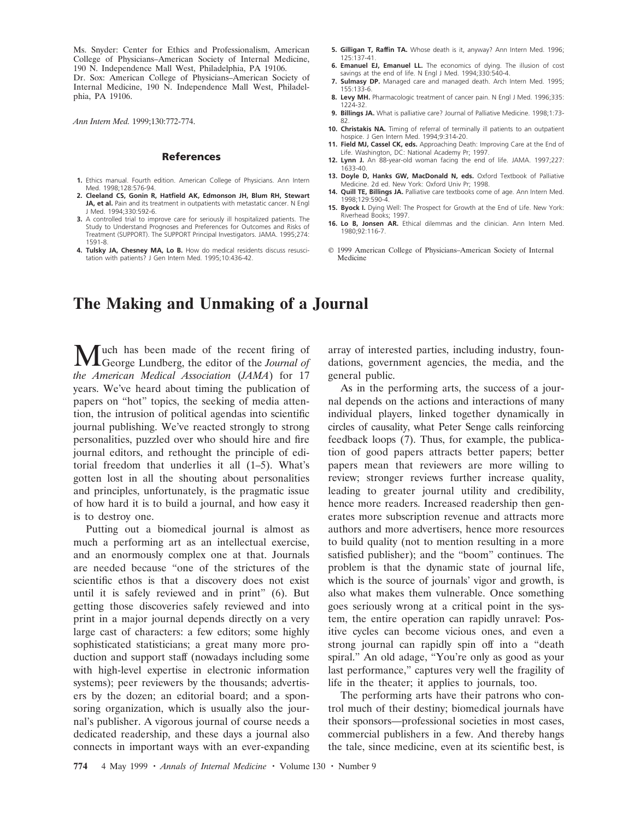Ms. Snyder: Center for Ethics and Professionalism, American College of Physicians–American Society of Internal Medicine, 190 N. Independence Mall West, Philadelphia, PA 19106. Dr. Sox: American College of Physicians–American Society of Internal Medicine, 190 N. Independence Mall West, Philadelphia, PA 19106.

*Ann Intern Med.* 1999;130:772-774.

### **References**

- **1.** Ethics manual. Fourth edition. American College of Physicians. Ann Intern Med. 1998;128:576-94.
- **2. Cleeland CS, Gonin R, Hatfield AK, Edmonson JH, Blum RH, Stewart** JA, et al. Pain and its treatment in outpatients with metastatic cancer. N Engl J Med. 1994;330:592-6.
- **3.** A controlled trial to improve care for seriously ill hospitalized patients. The Study to Understand Prognoses and Preferences for Outcomes and Risks of Treatment (SUPPORT). The SUPPORT Principal Investigators. JAMA. 1995;274:
- 1591-8. **4. Tulsky JA, Chesney MA, Lo B.** How do medical residents discuss resuscitation with patients? J Gen Intern Med. 1995;10:436-42.
- **5. Gilligan T, Raffin TA.** Whose death is it, anyway? Ann Intern Med. 1996; 125:137-41.
- **6. Emanuel EJ, Emanuel LL.** The economics of dying. The illusion of cost savings at the end of life. N Engl J Med. 1994;330:540-4.
- **7. Sulmasy DP.** Managed care and managed death. Arch Intern Med. 1995; 155:133-6.
- **8. Levy MH.** Pharmacologic treatment of cancer pain. N Engl J Med. 1996;335: 1224-32.
- 9. Billings JA. What is palliative care? Journal of Palliative Medicine. 1998;1:73-82.
- **10. Christakis NA.** Timing of referral of terminally ill patients to an outpatient hospice. J Gen Intern Med. 1994;9:314-20.
- **11. Field MJ, Cassel CK, eds.** Approaching Death: Improving Care at the End of Life. Washington, DC: National Academy Pr; 1997.
- **12. Lynn J.** An 88-year-old woman facing the end of life. JAMA. 1997;227: 1633-40.
- **13. Doyle D, Hanks GW, MacDonald N, eds.** Oxford Textbook of Palliative Medicine. 2d ed. New York: Oxford Univ Pr; 1998.
- **14. Quill TE, Billings JA.** Palliative care textbooks come of age. Ann Intern Med. 1998;129:590-4.
- 15. Byock I. Dying Well: The Prospect for Growth at the End of Life. New York: Riverhead Books; 1997.
- **16. Lo B, Jonsen AR.** Ethical dilemmas and the clinician. Ann Intern Med. 1980;92:116-7.
- © 1999 American College of Physicians–American Society of Internal Medicine

## **The Making and Unmaking of a Journal**

Much has been made of the recent firing of George Lundberg, the editor of the *Journal of the American Medical Association* (*JAMA*) for 17 years. We've heard about timing the publication of papers on "hot" topics, the seeking of media attention, the intrusion of political agendas into scientific journal publishing. We've reacted strongly to strong personalities, puzzled over who should hire and fire journal editors, and rethought the principle of editorial freedom that underlies it all (1–5). What's gotten lost in all the shouting about personalities and principles, unfortunately, is the pragmatic issue of how hard it is to build a journal, and how easy it is to destroy one.

Putting out a biomedical journal is almost as much a performing art as an intellectual exercise, and an enormously complex one at that. Journals are needed because "one of the strictures of the scientific ethos is that a discovery does not exist until it is safely reviewed and in print" (6). But getting those discoveries safely reviewed and into print in a major journal depends directly on a very large cast of characters: a few editors; some highly sophisticated statisticians; a great many more production and support staff (nowadays including some with high-level expertise in electronic information systems); peer reviewers by the thousands; advertisers by the dozen; an editorial board; and a sponsoring organization, which is usually also the journal's publisher. A vigorous journal of course needs a dedicated readership, and these days a journal also connects in important ways with an ever-expanding

array of interested parties, including industry, foundations, government agencies, the media, and the general public.

As in the performing arts, the success of a journal depends on the actions and interactions of many individual players, linked together dynamically in circles of causality, what Peter Senge calls reinforcing feedback loops (7). Thus, for example, the publication of good papers attracts better papers; better papers mean that reviewers are more willing to review; stronger reviews further increase quality, leading to greater journal utility and credibility, hence more readers. Increased readership then generates more subscription revenue and attracts more authors and more advertisers, hence more resources to build quality (not to mention resulting in a more satisfied publisher); and the "boom" continues. The problem is that the dynamic state of journal life, which is the source of journals' vigor and growth, is also what makes them vulnerable. Once something goes seriously wrong at a critical point in the system, the entire operation can rapidly unravel: Positive cycles can become vicious ones, and even a strong journal can rapidly spin off into a "death spiral." An old adage, "You're only as good as your last performance," captures very well the fragility of life in the theater; it applies to journals, too.

The performing arts have their patrons who control much of their destiny; biomedical journals have their sponsors—professional societies in most cases, commercial publishers in a few. And thereby hangs the tale, since medicine, even at its scientific best, is